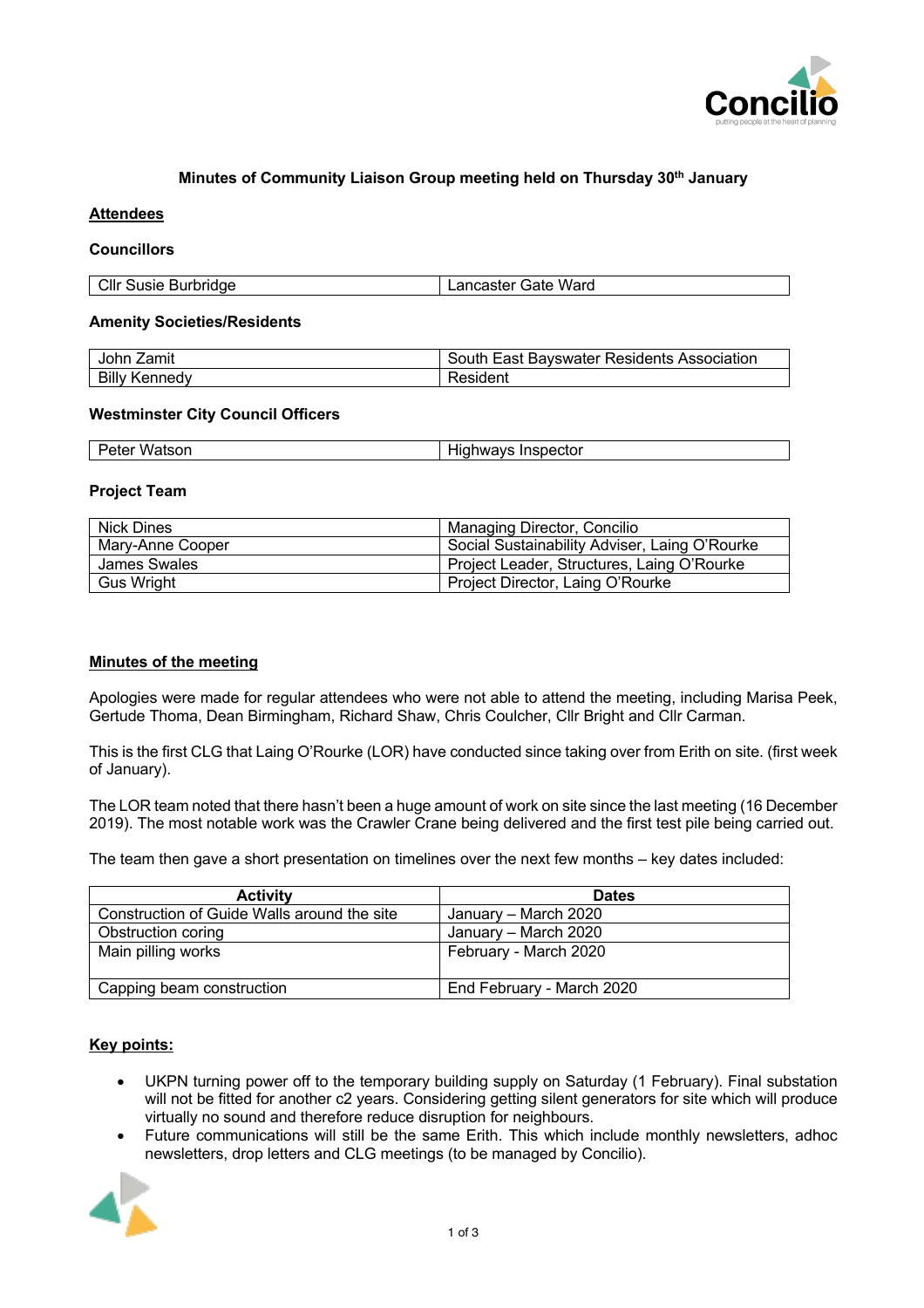

# **Minutes of Community Liaison Group meeting held on Thursday 30th January**

## **Attendees**

## **Councillors**

| Cllr Susie Burbridge | Lancaster Gate Ward |
|----------------------|---------------------|

#### **Amenity Societies/Residents**

| John Zamit           | South East Bayswater Residents Association |
|----------------------|--------------------------------------------|
| <b>Billy Kennedy</b> | Resident                                   |

### **Westminster City Council Officers**

| Watson | .                  |
|--------|--------------------|
| Peter  | Highways Inspector |

#### **Project Team**

| <b>Nick Dines</b> | Managing Director, Concilio                   |
|-------------------|-----------------------------------------------|
| Mary-Anne Cooper  | Social Sustainability Adviser, Laing O'Rourke |
| James Swales      | Project Leader, Structures, Laing O'Rourke    |
| Gus Wright        | Project Director, Laing O'Rourke              |

## **Minutes of the meeting**

Apologies were made for regular attendees who were not able to attend the meeting, including Marisa Peek, Gertude Thoma, Dean Birmingham, Richard Shaw, Chris Coulcher, Cllr Bright and Cllr Carman.

This is the first CLG that Laing O'Rourke (LOR) have conducted since taking over from Erith on site. (first week of January).

The LOR team noted that there hasn't been a huge amount of work on site since the last meeting (16 December 2019). The most notable work was the Crawler Crane being delivered and the first test pile being carried out.

The team then gave a short presentation on timelines over the next few months – key dates included:

| <b>Activity</b>                             | <b>Dates</b>              |
|---------------------------------------------|---------------------------|
| Construction of Guide Walls around the site | January – March 2020      |
| Obstruction coring                          | January – March 2020      |
| Main pilling works                          | February - March 2020     |
|                                             |                           |
| Capping beam construction                   | End February - March 2020 |

## **Key points:**

- UKPN turning power off to the temporary building supply on Saturday (1 February). Final substation will not be fitted for another c2 years. Considering getting silent generators for site which will produce virtually no sound and therefore reduce disruption for neighbours.
- Future communications will still be the same Erith. This which include monthly newsletters, adhoc newsletters, drop letters and CLG meetings (to be managed by Concilio).

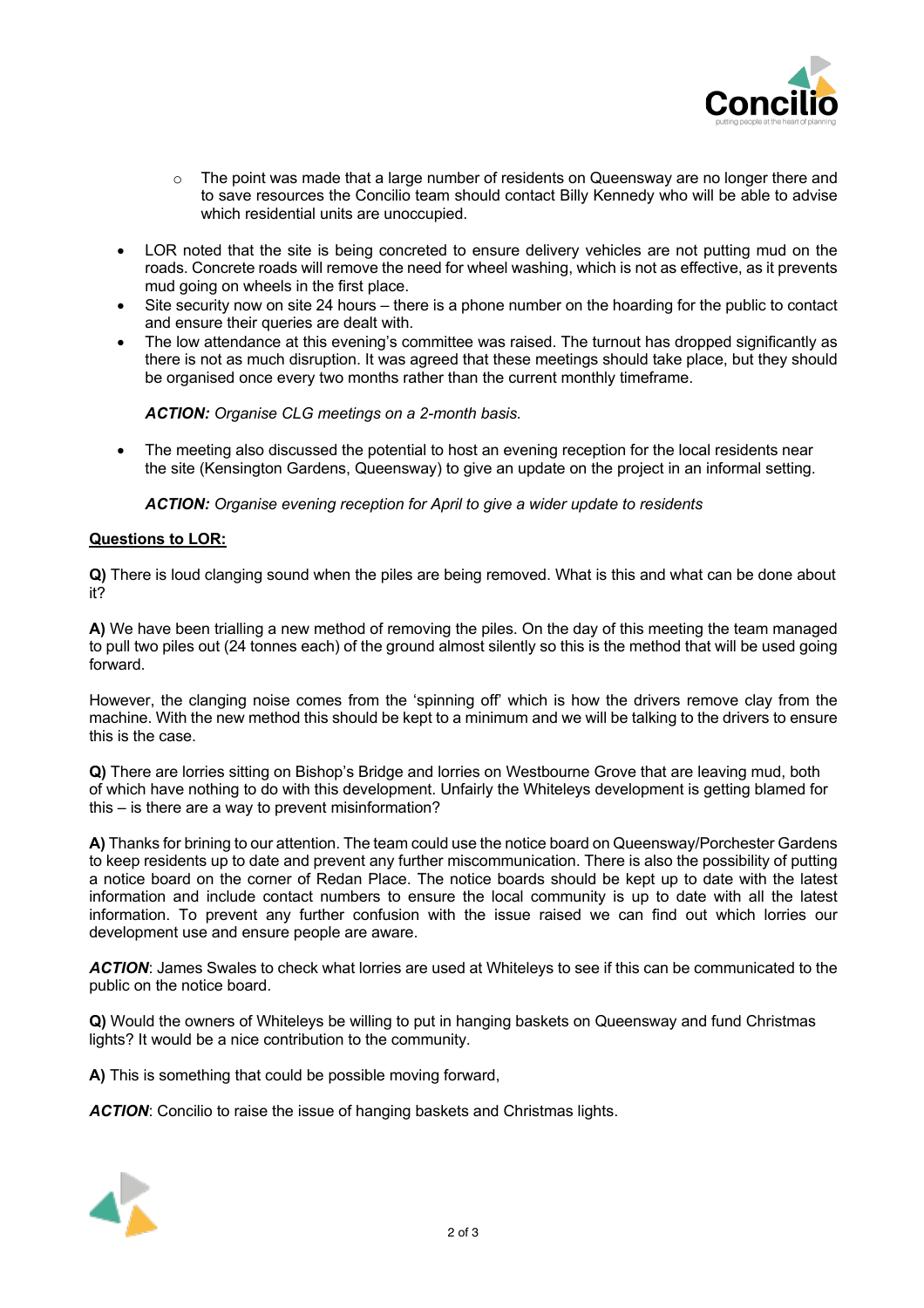

- $\circ$  The point was made that a large number of residents on Queensway are no longer there and to save resources the Concilio team should contact Billy Kennedy who will be able to advise which residential units are unoccupied.
- LOR noted that the site is being concreted to ensure delivery vehicles are not putting mud on the roads. Concrete roads will remove the need for wheel washing, which is not as effective, as it prevents mud going on wheels in the first place.
- Site security now on site 24 hours there is a phone number on the hoarding for the public to contact and ensure their queries are dealt with.
- The low attendance at this evening's committee was raised. The turnout has dropped significantly as there is not as much disruption. It was agreed that these meetings should take place, but they should be organised once every two months rather than the current monthly timeframe.

*ACTION: Organise CLG meetings on a 2-month basis.* 

The meeting also discussed the potential to host an evening reception for the local residents near the site (Kensington Gardens, Queensway) to give an update on the project in an informal setting.

*ACTION: Organise evening reception for April to give a wider update to residents*

### **Questions to LOR:**

**Q)** There is loud clanging sound when the piles are being removed. What is this and what can be done about it?

**A)** We have been trialling a new method of removing the piles. On the day of this meeting the team managed to pull two piles out (24 tonnes each) of the ground almost silently so this is the method that will be used going forward.

However, the clanging noise comes from the 'spinning off' which is how the drivers remove clay from the machine. With the new method this should be kept to a minimum and we will be talking to the drivers to ensure this is the case.

**Q)** There are lorries sitting on Bishop's Bridge and lorries on Westbourne Grove that are leaving mud, both of which have nothing to do with this development. Unfairly the Whiteleys development is getting blamed for this – is there are a way to prevent misinformation?

**A)** Thanks for brining to our attention. The team could use the notice board on Queensway/Porchester Gardens to keep residents up to date and prevent any further miscommunication. There is also the possibility of putting a notice board on the corner of Redan Place. The notice boards should be kept up to date with the latest information and include contact numbers to ensure the local community is up to date with all the latest information. To prevent any further confusion with the issue raised we can find out which lorries our development use and ensure people are aware.

*ACTION*: James Swales to check what lorries are used at Whiteleys to see if this can be communicated to the public on the notice board.

**Q)** Would the owners of Whiteleys be willing to put in hanging baskets on Queensway and fund Christmas lights? It would be a nice contribution to the community.

**A)** This is something that could be possible moving forward,

*ACTION*: Concilio to raise the issue of hanging baskets and Christmas lights.